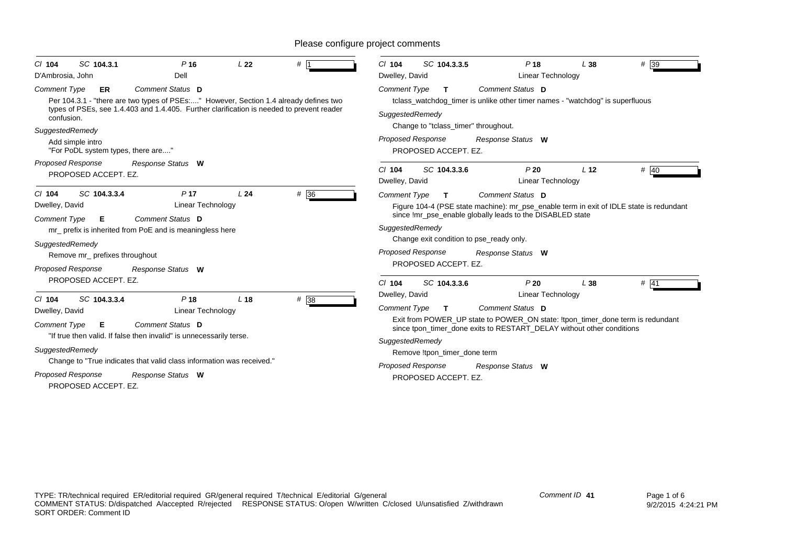| SC 104.3.1<br>P <sub>16</sub><br>$CI$ 104<br>Dell<br>D'Ambrosia, John                                                                                                                                                                                                                                                                                                                                  | L <sub>22</sub> | # 1               | SC 104.3.3.5<br>P <sub>18</sub><br>$CI$ 104<br>Dwelley, David<br>Linear Technology                                                                                                                                                                                                                                                                                                                             | # 39<br>L38             |
|--------------------------------------------------------------------------------------------------------------------------------------------------------------------------------------------------------------------------------------------------------------------------------------------------------------------------------------------------------------------------------------------------------|-----------------|-------------------|----------------------------------------------------------------------------------------------------------------------------------------------------------------------------------------------------------------------------------------------------------------------------------------------------------------------------------------------------------------------------------------------------------------|-------------------------|
| Comment Status D<br><b>Comment Type</b><br><b>ER</b><br>Per 104.3.1 - "there are two types of PSEs:" However, Section 1.4 already defines two<br>types of PSEs, see 1.4.403 and 1.4.405. Further clarification is needed to prevent reader<br>confusion.<br>SuggestedRemedy<br>Add simple intro<br>"For PoDL system types, there are"                                                                  |                 |                   | Comment Status D<br><b>Comment Type</b><br>$\mathbf{T}$<br>tclass_watchdog_timer is unlike other timer names - "watchdog" is superfluous<br>SuggestedRemedy<br>Change to "tclass_timer" throughout.<br><b>Proposed Response</b><br>Response Status W<br>PROPOSED ACCEPT. EZ.                                                                                                                                   |                         |
| Proposed Response<br>Response Status W<br>PROPOSED ACCEPT. EZ.                                                                                                                                                                                                                                                                                                                                         |                 |                   | P20<br>$Cl$ 104<br>SC 104.3.3.6<br>Dwelley, David<br>Linear Technology                                                                                                                                                                                                                                                                                                                                         | # 40<br>L <sub>12</sub> |
| SC 104.3.3.4<br>P <sub>17</sub><br>$Cl$ 104<br>Dwelley, David<br>Linear Technology<br>Comment Status D<br>Comment Type<br>E<br>mr_ prefix is inherited from PoE and is meaningless here<br>SuggestedRemedy<br>Remove mr prefixes throughout<br>Proposed Response<br>Response Status W                                                                                                                  | L24             | # 36              | Comment Status D<br><b>Comment Type</b><br>$\mathbf{T}$<br>Figure 104-4 (PSE state machine): mr_pse_enable term in exit of IDLE state is redundant<br>since !mr_pse_enable globally leads to the DISABLED state<br>SuggestedRemedy<br>Change exit condition to pse_ready only.<br><b>Proposed Response</b><br>Response Status W<br>PROPOSED ACCEPT. EZ.                                                        |                         |
| PROPOSED ACCEPT. EZ.<br>P <sub>18</sub><br>$Cl$ 104<br>SC 104.3.3.4<br>Dwelley, David<br>Linear Technology<br>Comment Status D<br><b>Comment Type</b><br>E<br>"If true then valid. If false then invalid" is unnecessarily terse.<br>SuggestedRemedy<br>Change to "True indicates that valid class information was received."<br><b>Proposed Response</b><br>Response Status W<br>PROPOSED ACCEPT. EZ. | L <sub>18</sub> | $# \overline{38}$ | P20<br>SC 104.3.3.6<br>$Cl$ 104<br>Dwelley, David<br>Linear Technology<br><b>Comment Type</b><br>Comment Status D<br>T.<br>Exit from POWER_UP state to POWER_ON state: !tpon_timer_done term is redundant<br>since tpon timer done exits to RESTART DELAY without other conditions<br>SuggestedRemedy<br>Remove !tpon_timer_done term<br><b>Proposed Response</b><br>Response Status W<br>PROPOSED ACCEPT. EZ. | L38<br># 41             |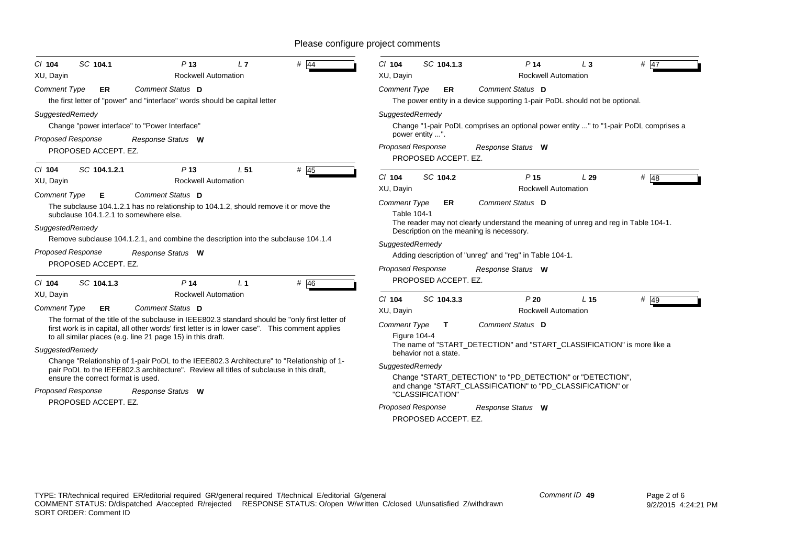| SC 104.1.3<br>P <sub>14</sub><br>$#$ 47<br>$Cl$ 104<br>$L_3$<br>XU, Dayin<br><b>Rockwell Automation</b>                                                                                                                                                                                                                                               |  |  |  |  |
|-------------------------------------------------------------------------------------------------------------------------------------------------------------------------------------------------------------------------------------------------------------------------------------------------------------------------------------------------------|--|--|--|--|
| Comment Status D<br><b>Comment Type</b><br>ER.<br>The power entity in a device supporting 1-pair PoDL should not be optional.                                                                                                                                                                                                                         |  |  |  |  |
| SuggestedRemedy<br>Change "1-pair PoDL comprises an optional power entity " to "1-pair PoDL comprises a<br>power entity ".<br><b>Proposed Response</b><br>Response Status W<br>PROPOSED ACCEPT. EZ.                                                                                                                                                   |  |  |  |  |
| # 48<br>$Cl$ 104<br>SC 104.2<br>P <sub>15</sub><br>L29<br><b>Rockwell Automation</b><br>XU, Dayin                                                                                                                                                                                                                                                     |  |  |  |  |
| Comment Status D<br><b>Comment Type</b><br>ER<br>Table 104-1<br>The reader may not clearly understand the meaning of unreg and reg in Table 104-1.<br>Description on the meaning is necessory.<br>SuggestedRemedy<br>Adding description of "unreg" and "reg" in Table 104-1.<br><b>Proposed Response</b><br>Response Status W<br>PROPOSED ACCEPT. EZ. |  |  |  |  |
| SC 104.3.3<br>P20<br># 49<br>$Cl$ 104<br>L 15<br><b>Rockwell Automation</b><br>XU, Dayin<br>Comment Status D<br><b>Comment Type</b><br>T.<br><b>Figure 104-4</b><br>The name of "START_DETECTION" and "START_CLASSIFICATION" is more like a                                                                                                           |  |  |  |  |
| behavior not a state.<br>SuggestedRemedy<br>Change "START_DETECTION" to "PD_DETECTION" or "DETECTION",<br>and change "START_CLASSIFICATION" to "PD_CLASSIFICATION" or<br>"CLASSIFICATION"<br><b>Proposed Response</b>                                                                                                                                 |  |  |  |  |
|                                                                                                                                                                                                                                                                                                                                                       |  |  |  |  |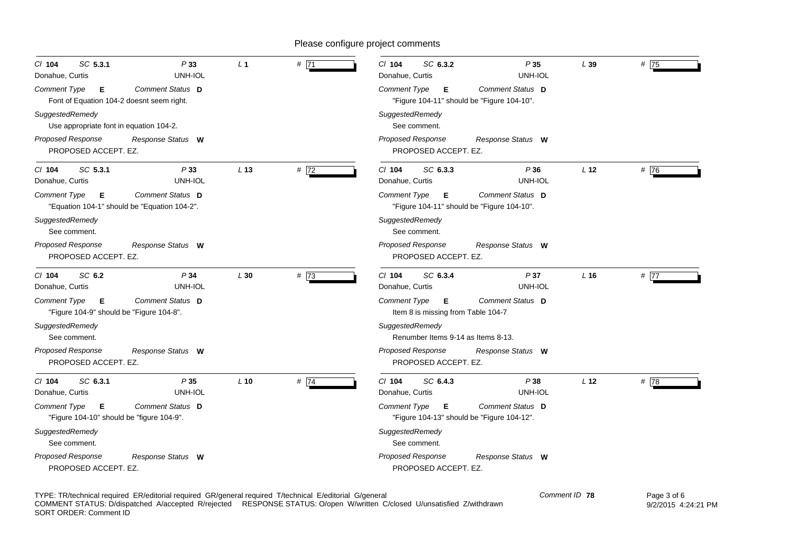| SC 5.3.1<br>P33<br>$CI$ 104<br>Donahue, Curtis<br>UNH-IOL                                    | L <sub>1</sub>  | # 71 | C/ 104<br>SC 6.3.2<br>P35<br>Donahue, Curtis<br>UNH-IOL                                    | L39             | #75  |
|----------------------------------------------------------------------------------------------|-----------------|------|--------------------------------------------------------------------------------------------|-----------------|------|
| Comment Status D<br><b>Comment Type</b><br>Е<br>Font of Equation 104-2 doesnt seem right.    |                 |      | Comment Status D<br><b>Comment Type</b><br>Е<br>"Figure 104-11" should be "Figure 104-10". |                 |      |
| SuggestedRemedy<br>Use appropriate font in equation 104-2.                                   |                 |      | SuggestedRemedy<br>See comment.                                                            |                 |      |
| Proposed Response<br>Response Status W<br>PROPOSED ACCEPT. EZ.                               |                 |      | <b>Proposed Response</b><br>Response Status W<br>PROPOSED ACCEPT. EZ.                      |                 |      |
| SC 5.3.1<br>$Cl$ 104<br>P 33<br>UNH-IOL<br>Donahue, Curtis                                   | L <sub>13</sub> | # 72 | $Cl$ 104<br>SC 6.3.3<br>P36<br>UNH-IOL<br>Donahue, Curtis                                  | L <sub>12</sub> | #76  |
| <b>Comment Status D</b><br>Comment Type<br>Е<br>"Equation 104-1" should be "Equation 104-2". |                 |      | <b>Comment Status D</b><br>Е<br>Comment Type<br>"Figure 104-11" should be "Figure 104-10". |                 |      |
| SuggestedRemedy<br>See comment.                                                              |                 |      | SuggestedRemedy<br>See comment.                                                            |                 |      |
| <b>Proposed Response</b><br>Response Status W<br>PROPOSED ACCEPT. EZ.                        |                 |      | <b>Proposed Response</b><br>Response Status W<br>PROPOSED ACCEPT. EZ.                      |                 |      |
| SC 6.2<br>P34<br>$CI$ 104<br>UNH-IOL<br>Donahue, Curtis                                      | L30             | #73  | C/ 104<br>SC 6.3.4<br>P37<br>UNH-IOL<br>Donahue, Curtis                                    | L16             | # 77 |
| Comment Status D<br><b>Comment Type</b><br>Е<br>"Figure 104-9" should be "Figure 104-8".     |                 |      | Comment Type<br>Comment Status D<br>Е<br>Item 8 is missing from Table 104-7                |                 |      |
| SuggestedRemedy<br>See comment.                                                              |                 |      | SuggestedRemedy<br>Renumber Items 9-14 as Items 8-13.                                      |                 |      |
| Proposed Response<br>Response Status W<br>PROPOSED ACCEPT. EZ.                               |                 |      | <b>Proposed Response</b><br>Response Status W<br>PROPOSED ACCEPT. EZ.                      |                 |      |
| SC 6.3.1<br>P35<br>$CI$ 104<br>UNH-IOL<br>Donahue, Curtis                                    | $L$ 10          | #74  | $Cl$ 104<br>SC 6.4.3<br>P38<br>UNH-IOL<br>Donahue, Curtis                                  | L <sub>12</sub> | # 78 |
| <b>Comment Status D</b><br>Comment Type<br>Е<br>"Figure 104-10" should be "figure 104-9".    |                 |      | Comment Status D<br>Comment Type<br>Е<br>"Figure 104-13" should be "Figure 104-12".        |                 |      |
| SuggestedRemedy<br>See comment.                                                              |                 |      | SuggestedRemedy<br>See comment.                                                            |                 |      |
| <b>Proposed Response</b><br>Response Status W<br>PROPOSED ACCEPT. EZ.                        |                 |      | <b>Proposed Response</b><br>Response Status W<br>PROPOSED ACCEPT. EZ.                      |                 |      |

TYPE: TR/technical required ER/editorial required GR/general required T/technical E/editorial G/general COMMENT STATUS: D/dispatched A/accepted R/rejected RESPONSE STATUS: O/open W/written C/closed U/unsatisfied Z/withdrawn SORT ORDER: Comment ID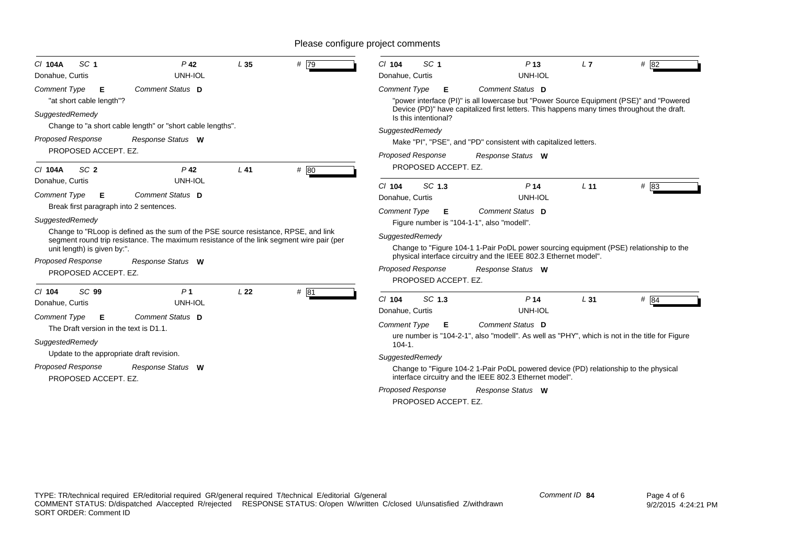| SC <sub>1</sub><br>C/ 104A<br>Donahue, Curtis                                                                                            | $P$ 42<br>UNH-IOL                                                                                                                                                                                    | L35             | # 79 | SC <sub>1</sub><br>$Cl$ 104<br>Donahue, Curtis                                                          | P <sub>13</sub><br>UNH-IOL                                                                                                                                                                                                    | L7              | # 82   |
|------------------------------------------------------------------------------------------------------------------------------------------|------------------------------------------------------------------------------------------------------------------------------------------------------------------------------------------------------|-----------------|------|---------------------------------------------------------------------------------------------------------|-------------------------------------------------------------------------------------------------------------------------------------------------------------------------------------------------------------------------------|-----------------|--------|
| <b>Comment Type</b><br>Е<br>"at short cable length"?<br>SuggestedRemedy                                                                  | Comment Status D                                                                                                                                                                                     |                 |      | <b>Comment Type</b><br>Е<br>Is this intentional?                                                        | Comment Status D<br>"power interface (PI)" is all lowercase but "Power Source Equipment (PSE)" and "Powered<br>Device (PD)" have capitalized first letters. This happens many times throughout the draft.                     |                 |        |
|                                                                                                                                          | Change to "a short cable length" or "short cable lengths".                                                                                                                                           |                 |      | SuggestedRemedy                                                                                         |                                                                                                                                                                                                                               |                 |        |
| <b>Proposed Response</b><br>PROPOSED ACCEPT. EZ.                                                                                         | Response Status W                                                                                                                                                                                    |                 |      |                                                                                                         | Make "PI", "PSE", and "PD" consistent with capitalized letters.                                                                                                                                                               |                 |        |
| SC <sub>2</sub><br>C/ 104A                                                                                                               | $P$ 42                                                                                                                                                                                               | $L$ 41          | # 80 | <b>Proposed Response</b><br>PROPOSED ACCEPT. EZ.                                                        | Response Status W                                                                                                                                                                                                             |                 |        |
| Donahue, Curtis<br><b>Comment Type</b><br>Е<br>Break first paragraph into 2 sentences.                                                   | UNH-IOL<br>Comment Status D                                                                                                                                                                          |                 |      | SC 1.3<br>$Cl$ 104<br>Donahue, Curtis<br><b>Comment Type</b><br>Е                                       | P <sub>14</sub><br>UNH-IOL<br>Comment Status D                                                                                                                                                                                | L <sub>11</sub> | $#$ 83 |
| SuggestedRemedy<br>unit length) is given by:".<br><b>Proposed Response</b><br>PROPOSED ACCEPT. EZ.                                       | Change to "RLoop is defined as the sum of the PSE source resistance, RPSE, and link<br>segment round trip resistance. The maximum resistance of the link segment wire pair (per<br>Response Status W |                 |      | SuggestedRemedy<br><b>Proposed Response</b>                                                             | Figure number is "104-1-1", also "modell".<br>Change to "Figure 104-1 1-Pair PoDL power sourcing equipment (PSE) relationship to the<br>physical interface circuitry and the IEEE 802.3 Ethernet model".<br>Response Status W |                 |        |
| SC <sub>99</sub><br>$Cl$ 104<br>Donahue, Curtis<br><b>Comment Type</b><br>E<br>The Draft version in the text is D1.1.<br>SuggestedRemedy | P <sub>1</sub><br>UNH-IOL<br>Comment Status D                                                                                                                                                        | L <sub>22</sub> | # 81 | PROPOSED ACCEPT. EZ.<br>SC 1.3<br>$CI$ 104<br>Donahue, Curtis<br><b>Comment Type</b><br>Е<br>$104 - 1.$ | P <sub>14</sub><br>UNH-IOL<br>Comment Status D<br>ure number is "104-2-1", also "modell". As well as "PHY", which is not in the title for Figure                                                                              | L31             | $#$ 84 |
| Update to the appropriate draft revision.<br>Proposed Response<br>PROPOSED ACCEPT. EZ.                                                   | Response Status W                                                                                                                                                                                    |                 |      | SuggestedRemedy<br><b>Proposed Response</b><br>PROPOSED ACCEPT. EZ.                                     | Change to "Figure 104-2 1-Pair PoDL powered device (PD) relationship to the physical<br>interface circuitry and the IEEE 802.3 Ethernet model".<br>Response Status W                                                          |                 |        |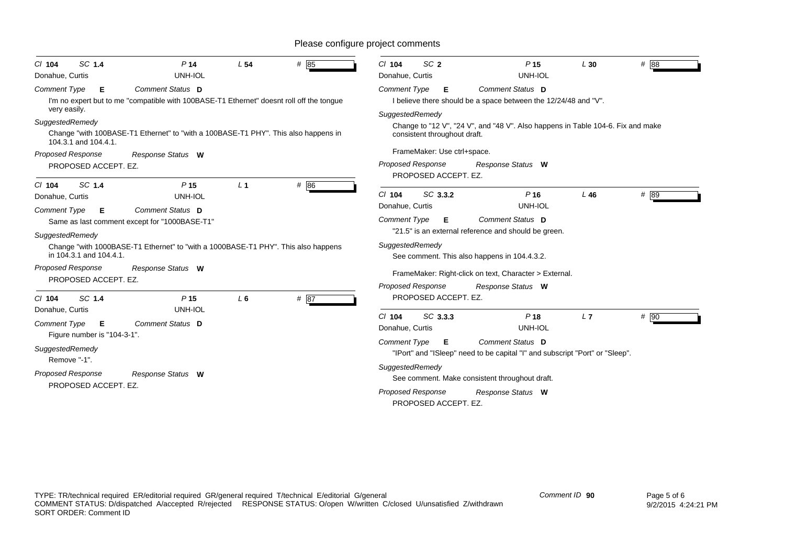| SC 1.4<br>$Cl$ 104<br>Donahue, Curtis                                                                                                                                                     | P <sub>14</sub><br>UNH-IOL                                                                                                                                                                                                   | L <sub>54</sub>         | # 85         | SC <sub>2</sub><br>$Cl$ 104<br>Donahue, Curtis                                                                                             | P <sub>15</sub><br>UNH-IOL                                                                                                                                                                                                            | L30    | $#$ 88 |
|-------------------------------------------------------------------------------------------------------------------------------------------------------------------------------------------|------------------------------------------------------------------------------------------------------------------------------------------------------------------------------------------------------------------------------|-------------------------|--------------|--------------------------------------------------------------------------------------------------------------------------------------------|---------------------------------------------------------------------------------------------------------------------------------------------------------------------------------------------------------------------------------------|--------|--------|
| <b>Comment Type</b><br>Е<br>very easily.                                                                                                                                                  | Comment Status D<br>I'm no expert but to me "compatible with 100BASE-T1 Ethernet" doesnt roll off the tongue                                                                                                                 |                         |              | <b>Comment Type</b><br>Е<br>SuggestedRemedy                                                                                                | Comment Status D<br>I believe there should be a space between the 12/24/48 and "V".                                                                                                                                                   |        |        |
| SuggestedRemedy<br>104.3.1 and 104.4.1.                                                                                                                                                   | Change "with 100BASE-T1 Ethernet" to "with a 100BASE-T1 PHY". This also happens in                                                                                                                                           |                         |              | consistent throughout draft.                                                                                                               | Change to "12 V", "24 V", and "48 V". Also happens in Table 104-6. Fix and make                                                                                                                                                       |        |        |
| <b>Proposed Response</b><br>PROPOSED ACCEPT. EZ.                                                                                                                                          | Response Status W                                                                                                                                                                                                            |                         |              | FrameMaker: Use ctrl+space.<br><b>Proposed Response</b><br>PROPOSED ACCEPT. EZ.                                                            | Response Status W                                                                                                                                                                                                                     |        |        |
| SC 1.4<br>$Cl$ 104<br>Donahue, Curtis<br><b>Comment Type</b><br>E<br>SuggestedRemedy<br>in 104.3.1 and 104.4.1.<br><b>Proposed Response</b><br>PROPOSED ACCEPT. EZ.<br>SC 1.4<br>$Cl$ 104 | P <sub>15</sub><br>UNH-IOL<br>Comment Status D<br>Same as last comment except for "1000BASE-T1"<br>Change "with 1000BASE-T1 Ethernet" to "with a 1000BASE-T1 PHY". This also happens<br>Response Status W<br>P <sub>15</sub> | L <sub>1</sub><br>$L_6$ | # 86<br># 87 | SC 3.3.2<br>$Cl$ 104<br>Donahue, Curtis<br><b>Comment Type</b><br>E<br>SuggestedRemedy<br>Proposed Response<br>PROPOSED ACCEPT. EZ.        | P <sub>16</sub><br>UNH-IOL<br>Comment Status D<br>"21.5" is an external reference and should be green.<br>See comment. This also happens in 104.4.3.2.<br>FrameMaker: Right-click on text, Character > External.<br>Response Status W | $L$ 46 | # 89   |
| Donahue, Curtis<br><b>Comment Type</b><br>E<br>Figure number is "104-3-1".<br>SuggestedRemedy<br>Remove "-1".<br><b>Proposed Response</b><br>PROPOSED ACCEPT. EZ.                         | UNH-IOL<br>Comment Status D<br>Response Status W                                                                                                                                                                             |                         |              | SC 3.3.3<br>$CI$ 104<br>Donahue, Curtis<br><b>Comment Type</b><br>Е<br>SuggestedRemedy<br><b>Proposed Response</b><br>PROPOSED ACCEPT. EZ. | P <sub>18</sub><br>UNH-IOL<br>Comment Status D<br>"IPort" and "ISleep" need to be capital "I" and subscript "Port" or "Sleep".<br>See comment. Make consistent throughout draft.<br>Response Status W                                 | L7     | $#$ 90 |